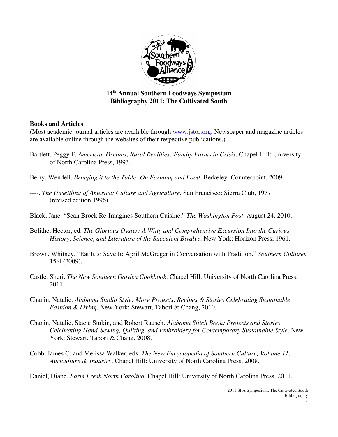

## **14th Annual Southern Foodways Symposium Bibliography 2011: The Cultivated South**

## **Books and Articles**

(Most academic journal articles are available through www.jstor.org. Newspaper and magazine articles are available online through the websites of their respective publications.)

- Bartlett, Peggy F. *American Dreams, Rural Realities: Family Farms in Crisis*. Chapel Hill: University of North Carolina Press, 1993.
- Berry, Wendell. *Bringing it to the Table: On Farming and Food*. Berkeley: Counterpoint, 2009.
- ----. *The Unsettling of America: Culture and Agriculture.* San Francisco: Sierra Club, 1977 (revised edition 1996).
- Black, Jane. "Sean Brock Re-Imagines Southern Cuisine." *The Washington Post*, August 24, 2010.
- Bolithe, Hector, ed. *The Glorious Oyster: A Witty and Comprehensive Excursion Into the Curious History, Science, and Literature of the Succulent Bivalve*. New York: Horizon Press, 1961.
- Brown, Whitney. "Eat It to Save It: April McGreger in Conversation with Tradition." *Southern Cultures* 15:4 (2009).
- Castle, Sheri. *The New Southern Garden Cookbook*. Chapel Hill: University of North Carolina Press, 2011.
- Chanin, Natalie. *Alabama Studio Style: More Projects, Recipes & Stories Celebrating Sustainable Fashion & Living.* New York: Stewart, Tabori & Chang, 2010.
- Chanin, Natalie, Stacie Stukin, and Robert Rausch. *Alabama Stitch Book: Projects and Stories Celebrating Hand-Sewing, Quilting, and Embroidery for Contemporary Sustainable Style.* New York: Stewart, Tabori & Chang, 2008.
- Cobb, James C. and Melissa Walker, eds. *The New Encyclopedia of Southern Culture, Volume 11: Agriculture & Industry*. Chapel Hill: University of North Carolina Press, 2008.

Daniel, Diane. *Farm Fresh North Carolina*. Chapel Hill: University of North Carolina Press, 2011.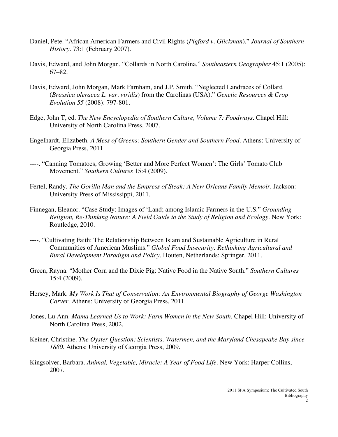- Daniel, Pete. "African American Farmers and Civil Rights (*Pigford v. Glickman*)." *Journal of Southern History.* 73:1 (February 2007).
- Davis, Edward, and John Morgan. "Collards in North Carolina." *Southeastern Geographer* 45:1 (2005): 67–82.
- Davis, Edward, John Morgan, Mark Farnham, and J.P. Smith. "Neglected Landraces of Collard (*Brassica oleracea L. var. viridis*) from the Carolinas (USA)." *Genetic Resources & Crop Evolution 55* (2008): 797-801.
- Edge, John T, ed. *The New Encyclopedia of Southern Culture, Volume 7: Foodways*. Chapel Hill: University of North Carolina Press, 2007.
- Engelhardt, Elizabeth. *A Mess of Greens: Southern Gender and Southern Food*. Athens: University of Georgia Press, 2011.
- ----. "Canning Tomatoes, Growing 'Better and More Perfect Women': The Girls' Tomato Club Movement." *Southern Cultures* 15:4 (2009).
- Fertel, Randy. *The Gorilla Man and the Empress of Steak: A New Orleans Family Memoir*. Jackson: University Press of Mississippi, 2011.
- Finnegan, Eleanor. "Case Study: Images of 'Land; among Islamic Farmers in the U.S." *Grounding Religion, Re-Thinking Nature: A Field Guide to the Study of Religion and Ecology*. New York: Routledge, 2010.
- ----. "Cultivating Faith: The Relationship Between Islam and Sustainable Agriculture in Rural Communities of American Muslims." *Global Food Insecurity: Rethinking Agricultural and Rural Development Paradigm and Policy.* Houten, Netherlands: Springer, 2011.
- Green, Rayna. "Mother Corn and the Dixie Pig: Native Food in the Native South." *Southern Cultures* 15:4 (2009).
- Hersey, Mark. *My Work Is That of Conservation: An Environmental Biography of George Washington Carver*. Athens: University of Georgia Press, 2011.
- Jones, Lu Ann. *Mama Learned Us to Work: Farm Women in the New South*. Chapel Hill: University of North Carolina Press, 2002.
- Keiner, Christine. *The Oyster Question: Scientists, Watermen, and the Maryland Chesapeake Bay since 1880*. Athens: University of Georgia Press, 2009.
- Kingsolver, Barbara. *Animal, Vegetable, Miracle: A Year of Food Life*. New York: Harper Collins, 2007.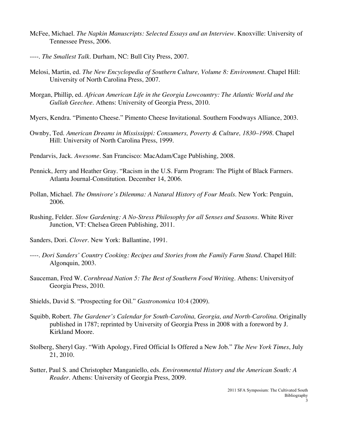- McFee, Michael. *The Napkin Manuscripts: Selected Essays and an Interview*. Knoxville: University of Tennessee Press, 2006.
- ----. *The Smallest Talk*. Durham, NC: Bull City Press, 2007.
- Melosi, Martin, ed. *The New Encyclopedia of Southern Culture, Volume 8: Environment.* Chapel Hill: University of North Carolina Press, 2007.
- Morgan, Phillip, ed. *African American Life in the Georgia Lowcountry: The Atlantic World and the Gullah Geechee*. Athens: University of Georgia Press, 2010.
- Myers, Kendra. "Pimento Cheese." Pimento Cheese Invitational. Southern Foodways Alliance, 2003.
- Ownby, Ted. *American Dreams in Mississippi: Consumers, Poverty & Culture, 1830–1998*. Chapel Hill: University of North Carolina Press, 1999.
- Pendarvis, Jack. *Awesome*. San Francisco: MacAdam/Cage Publishing, 2008.
- Pennick, Jerry and Heather Gray. "Racism in the U.S. Farm Program: The Plight of Black Farmers. Atlanta Journal-Constitution. December 14, 2006.
- Pollan, Michael. *The Omnivore's Dilemma: A Natural History of Four Meals*. New York: Penguin, 2006.
- Rushing, Felder. *Slow Gardening: A No-Stress Philosophy for all Senses and Seasons*. White River Junction, VT: Chelsea Green Publishing, 2011.
- Sanders, Dori. *Clover*. New York: Ballantine, 1991.
- ----. *Dori Sanders' Country Cooking: Recipes and Stories from the Family Farm Stand.* Chapel Hill: Algonquin, 2003.
- Sauceman, Fred W. *Cornbread Nation 5: The Best of Southern Food Writing*. Athens: Universityof Georgia Press, 2010.
- Shields, David S. "Prospecting for Oil." *Gastronomica* 10:4 (2009).
- Squibb, Robert. *The Gardener's Calendar for South-Carolina, Georgia, and North-Carolina*. Originally published in 1787; reprinted by University of Georgia Press in 2008 with a foreword by J. Kirkland Moore.
- Stolberg, Sheryl Gay. "With Apology, Fired Official Is Offered a New Job." *The New York Times*, July 21, 2010.
- Sutter, Paul S. and Christopher Manganiello, eds. *Environmental History and the American South: A Reader*. Athens: University of Georgia Press, 2009.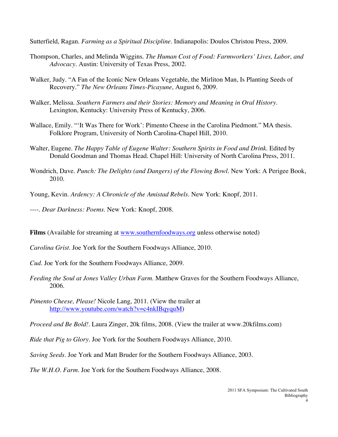Sutterfield, Ragan. *Farming as a Spiritual Discipline*. Indianapolis: Doulos Christou Press, 2009.

- Thompson, Charles, and Melinda Wiggins. *The Human Cost of Food: Farmworkers' Lives, Labor, and Advocacy*. Austin: University of Texas Press, 2002.
- Walker, Judy. "A Fan of the Iconic New Orleans Vegetable, the Mirliton Man, Is Planting Seeds of Recovery." *The New Orleans Times-Picayune*, August 6, 2009.
- Walker, Melissa. *Southern Farmers and their Stories: Memory and Meaning in Oral History*. Lexington, Kentucky: University Press of Kentucky, 2006.
- Wallace, Emily. "'It Was There for Work': Pimento Cheese in the Carolina Piedmont." MA thesis. Folklore Program, University of North Carolina-Chapel Hill, 2010.
- Walter, Eugene. *The Happy Table of Eugene Walter: Southern Spirits in Food and Drink*. Edited by Donald Goodman and Thomas Head. Chapel Hill: University of North Carolina Press, 2011.
- Wondrich, Dave. *Punch: The Delights (and Dangers) of the Flowing Bowl*. New York: A Perigee Book, 2010.
- Young, Kevin. *Ardency: A Chronicle of the Amistad Rebels*. New York: Knopf, 2011.
- ----. *Dear Darkness: Poems*. New York: Knopf, 2008.
- **Films** (Available for streaming at www.southernfoodways.org unless otherwise noted)
- *Carolina Grist*. Joe York for the Southern Foodways Alliance, 2010.
- *Cud*. Joe York for the Southern Foodways Alliance, 2009.
- *Feeding the Soul at Jones Valley Urban Farm*. Matthew Graves for the Southern Foodways Alliance, 2006.
- *Pimento Cheese, Please!* Nicole Lang, 2011. (View the trailer at http://www.youtube.com/watch?v=c4nkIBqyquM)
- *Proceed and Be Bold!*. Laura Zinger, 20k films, 2008. (View the trailer at www.20kfilms.com)
- *Ride that Pig to Glory*. Joe York for the Southern Foodways Alliance, 2010.
- *Saving Seeds*. Joe York and Matt Bruder for the Southern Foodways Alliance, 2003.
- *The W.H.O. Farm*. Joe York for the Southern Foodways Alliance, 2008.